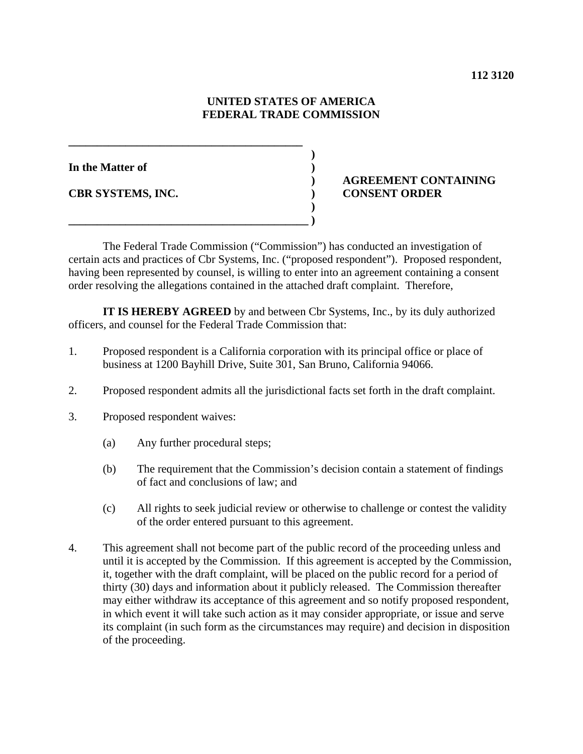## **UNITED STATES OF AMERICA FEDERAL TRADE COMMISSION**

**In the Matter of )** 

**CBR SYSTEMS, INC. ) CONSENT ORDER** 

# **) AGREEMENT CONTAINING**

 The Federal Trade Commission ("Commission") has conducted an investigation of certain acts and practices of Cbr Systems, Inc. ("proposed respondent"). Proposed respondent, having been represented by counsel, is willing to enter into an agreement containing a consent order resolving the allegations contained in the attached draft complaint. Therefore,

 **IT IS HEREBY AGREED** by and between Cbr Systems, Inc., by its duly authorized officers, and counsel for the Federal Trade Commission that:

- 1. Proposed respondent is a California corporation with its principal office or place of business at 1200 Bayhill Drive, Suite 301, San Bruno, California 94066.
- 2. Proposed respondent admits all the jurisdictional facts set forth in the draft complaint.
- 3. Proposed respondent waives:
	- (a) Any further procedural steps;

**\_\_\_\_\_\_\_\_\_\_\_\_\_\_\_\_\_\_\_\_\_\_\_\_\_\_\_\_\_\_\_\_\_\_\_\_\_\_\_\_\_ )** 

 **) \_\_\_\_\_\_\_\_\_\_\_\_\_\_\_\_\_\_\_\_\_\_\_\_\_\_\_\_\_\_\_\_\_\_\_\_\_\_\_\_\_\_ )**

- (b) The requirement that the Commission's decision contain a statement of findings of fact and conclusions of law; and
- (c) All rights to seek judicial review or otherwise to challenge or contest the validity of the order entered pursuant to this agreement.
- 4. This agreement shall not become part of the public record of the proceeding unless and until it is accepted by the Commission. If this agreement is accepted by the Commission, it, together with the draft complaint, will be placed on the public record for a period of thirty (30) days and information about it publicly released. The Commission thereafter may either withdraw its acceptance of this agreement and so notify proposed respondent, in which event it will take such action as it may consider appropriate, or issue and serve its complaint (in such form as the circumstances may require) and decision in disposition of the proceeding.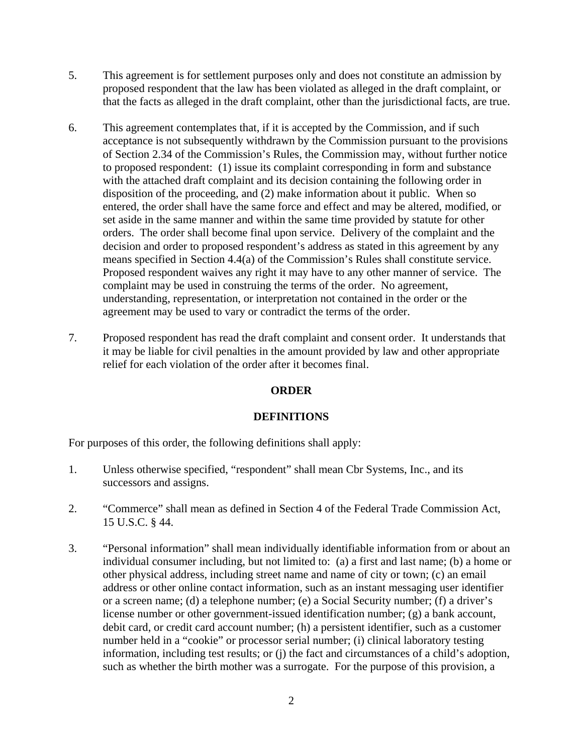- 5. This agreement is for settlement purposes only and does not constitute an admission by proposed respondent that the law has been violated as alleged in the draft complaint, or that the facts as alleged in the draft complaint, other than the jurisdictional facts, are true.
- 6. This agreement contemplates that, if it is accepted by the Commission, and if such acceptance is not subsequently withdrawn by the Commission pursuant to the provisions of Section 2.34 of the Commission's Rules, the Commission may, without further notice to proposed respondent: (1) issue its complaint corresponding in form and substance with the attached draft complaint and its decision containing the following order in disposition of the proceeding, and (2) make information about it public. When so entered, the order shall have the same force and effect and may be altered, modified, or set aside in the same manner and within the same time provided by statute for other orders. The order shall become final upon service. Delivery of the complaint and the decision and order to proposed respondent's address as stated in this agreement by any means specified in Section 4.4(a) of the Commission's Rules shall constitute service. Proposed respondent waives any right it may have to any other manner of service. The complaint may be used in construing the terms of the order. No agreement, understanding, representation, or interpretation not contained in the order or the agreement may be used to vary or contradict the terms of the order.
- 7. Proposed respondent has read the draft complaint and consent order. It understands that it may be liable for civil penalties in the amount provided by law and other appropriate relief for each violation of the order after it becomes final.

# **ORDER**

## **DEFINITIONS**

For purposes of this order, the following definitions shall apply:

- 1. Unless otherwise specified, "respondent" shall mean Cbr Systems, Inc., and its successors and assigns.
- 2. "Commerce" shall mean as defined in Section 4 of the Federal Trade Commission Act, 15 U.S.C. § 44.
- 3. "Personal information" shall mean individually identifiable information from or about an individual consumer including, but not limited to: (a) a first and last name; (b) a home or other physical address, including street name and name of city or town; (c) an email address or other online contact information, such as an instant messaging user identifier or a screen name; (d) a telephone number; (e) a Social Security number; (f) a driver's license number or other government-issued identification number; (g) a bank account, debit card, or credit card account number; (h) a persistent identifier, such as a customer number held in a "cookie" or processor serial number; (i) clinical laboratory testing information, including test results; or (j) the fact and circumstances of a child's adoption, such as whether the birth mother was a surrogate. For the purpose of this provision, a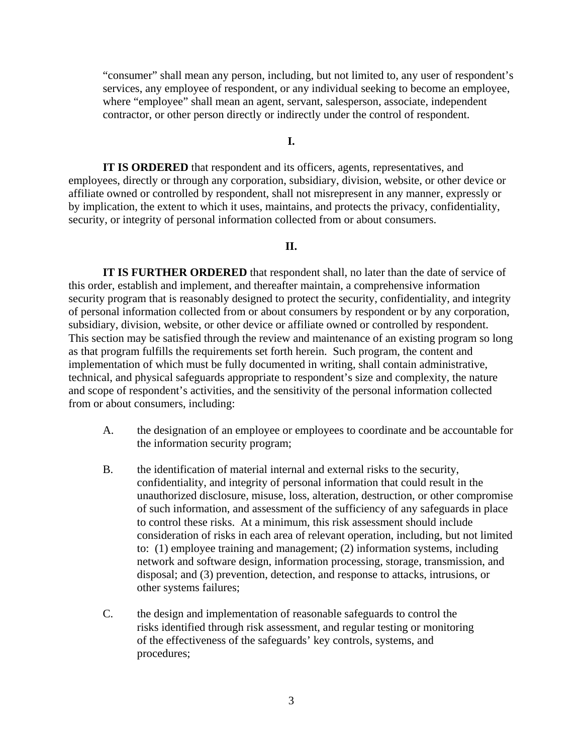"consumer" shall mean any person, including, but not limited to, any user of respondent's services, any employee of respondent, or any individual seeking to become an employee, where "employee" shall mean an agent, servant, salesperson, associate, independent contractor, or other person directly or indirectly under the control of respondent.

## **I.**

**IT IS ORDERED** that respondent and its officers, agents, representatives, and employees, directly or through any corporation, subsidiary, division, website, or other device or affiliate owned or controlled by respondent, shall not misrepresent in any manner, expressly or by implication, the extent to which it uses, maintains, and protects the privacy, confidentiality, security, or integrity of personal information collected from or about consumers.

## **II.**

**IT IS FURTHER ORDERED** that respondent shall, no later than the date of service of this order, establish and implement, and thereafter maintain, a comprehensive information security program that is reasonably designed to protect the security, confidentiality, and integrity of personal information collected from or about consumers by respondent or by any corporation, subsidiary, division, website, or other device or affiliate owned or controlled by respondent. This section may be satisfied through the review and maintenance of an existing program so long as that program fulfills the requirements set forth herein. Such program, the content and implementation of which must be fully documented in writing, shall contain administrative, technical, and physical safeguards appropriate to respondent's size and complexity, the nature and scope of respondent's activities, and the sensitivity of the personal information collected from or about consumers, including:

- A. the designation of an employee or employees to coordinate and be accountable for the information security program;
- B. the identification of material internal and external risks to the security, confidentiality, and integrity of personal information that could result in the unauthorized disclosure, misuse, loss, alteration, destruction, or other compromise of such information, and assessment of the sufficiency of any safeguards in place to control these risks. At a minimum, this risk assessment should include consideration of risks in each area of relevant operation, including, but not limited to: (1) employee training and management; (2) information systems, including network and software design, information processing, storage, transmission, and disposal; and (3) prevention, detection, and response to attacks, intrusions, or other systems failures;
- C. the design and implementation of reasonable safeguards to control the risks identified through risk assessment, and regular testing or monitoring of the effectiveness of the safeguards' key controls, systems, and procedures;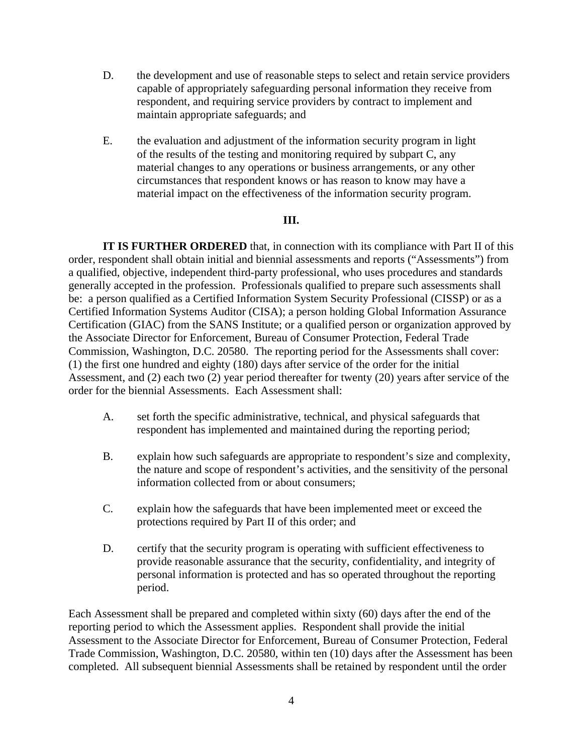- D. the development and use of reasonable steps to select and retain service providers capable of appropriately safeguarding personal information they receive from respondent, and requiring service providers by contract to implement and maintain appropriate safeguards; and
- E. the evaluation and adjustment of the information security program in light of the results of the testing and monitoring required by subpart C, any material changes to any operations or business arrangements, or any other circumstances that respondent knows or has reason to know may have a material impact on the effectiveness of the information security program.

## **III.**

**IT IS FURTHER ORDERED** that, in connection with its compliance with Part II of this order, respondent shall obtain initial and biennial assessments and reports ("Assessments") from a qualified, objective, independent third-party professional, who uses procedures and standards generally accepted in the profession. Professionals qualified to prepare such assessments shall be: a person qualified as a Certified Information System Security Professional (CISSP) or as a Certified Information Systems Auditor (CISA); a person holding Global Information Assurance Certification (GIAC) from the SANS Institute; or a qualified person or organization approved by the Associate Director for Enforcement, Bureau of Consumer Protection, Federal Trade Commission, Washington, D.C. 20580. The reporting period for the Assessments shall cover: (1) the first one hundred and eighty (180) days after service of the order for the initial Assessment, and (2) each two (2) year period thereafter for twenty (20) years after service of the order for the biennial Assessments. Each Assessment shall:

- A. set forth the specific administrative, technical, and physical safeguards that respondent has implemented and maintained during the reporting period;
- B. explain how such safeguards are appropriate to respondent's size and complexity, the nature and scope of respondent's activities, and the sensitivity of the personal information collected from or about consumers;
- C. explain how the safeguards that have been implemented meet or exceed the protections required by Part II of this order; and
- D. certify that the security program is operating with sufficient effectiveness to provide reasonable assurance that the security, confidentiality, and integrity of personal information is protected and has so operated throughout the reporting period.

Each Assessment shall be prepared and completed within sixty (60) days after the end of the reporting period to which the Assessment applies. Respondent shall provide the initial Assessment to the Associate Director for Enforcement, Bureau of Consumer Protection, Federal Trade Commission, Washington, D.C. 20580, within ten (10) days after the Assessment has been completed. All subsequent biennial Assessments shall be retained by respondent until the order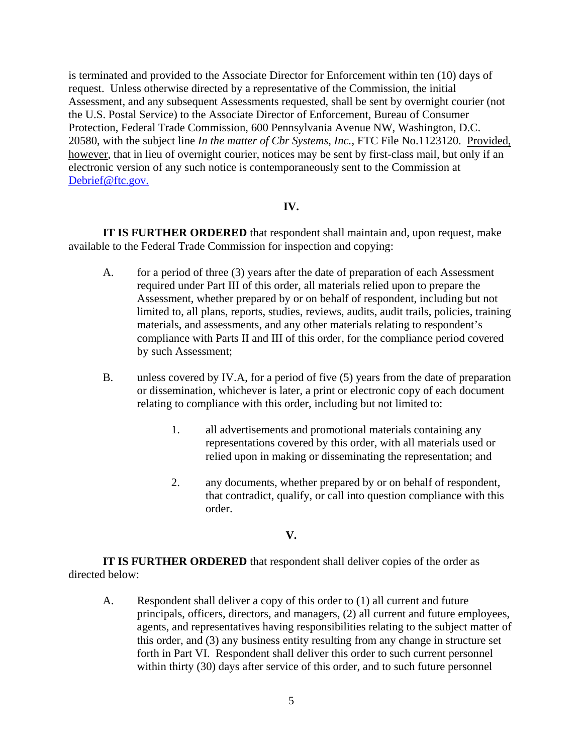is terminated and provided to the Associate Director for Enforcement within ten (10) days of request. Unless otherwise directed by a representative of the Commission, the initial Assessment, and any subsequent Assessments requested, shall be sent by overnight courier (not the U.S. Postal Service) to the Associate Director of Enforcement, Bureau of Consumer Protection, Federal Trade Commission, 600 Pennsylvania Avenue NW, Washington, D.C. 20580, with the subject line *In the matter of Cbr Systems, Inc.*, FTC File No.1123120. Provided, however, that in lieu of overnight courier, notices may be sent by first-class mail, but only if an electronic version of any such notice is contemporaneously sent to the Commission at Debrief@ftc.gov.

## **IV.**

**IT IS FURTHER ORDERED** that respondent shall maintain and, upon request, make available to the Federal Trade Commission for inspection and copying:

- A. for a period of three (3) years after the date of preparation of each Assessment required under Part III of this order, all materials relied upon to prepare the Assessment, whether prepared by or on behalf of respondent, including but not limited to, all plans, reports, studies, reviews, audits, audit trails, policies, training materials, and assessments, and any other materials relating to respondent's compliance with Parts II and III of this order, for the compliance period covered by such Assessment;
- B. unless covered by IV.A, for a period of five (5) years from the date of preparation or dissemination, whichever is later, a print or electronic copy of each document relating to compliance with this order, including but not limited to:
	- 1. all advertisements and promotional materials containing any representations covered by this order, with all materials used or relied upon in making or disseminating the representation; and
	- 2. any documents, whether prepared by or on behalf of respondent, that contradict, qualify, or call into question compliance with this order.

### **V.**

**IT IS FURTHER ORDERED** that respondent shall deliver copies of the order as directed below:

 A. Respondent shall deliver a copy of this order to (1) all current and future principals, officers, directors, and managers, (2) all current and future employees, agents, and representatives having responsibilities relating to the subject matter of this order, and (3) any business entity resulting from any change in structure set forth in Part VI. Respondent shall deliver this order to such current personnel within thirty (30) days after service of this order, and to such future personnel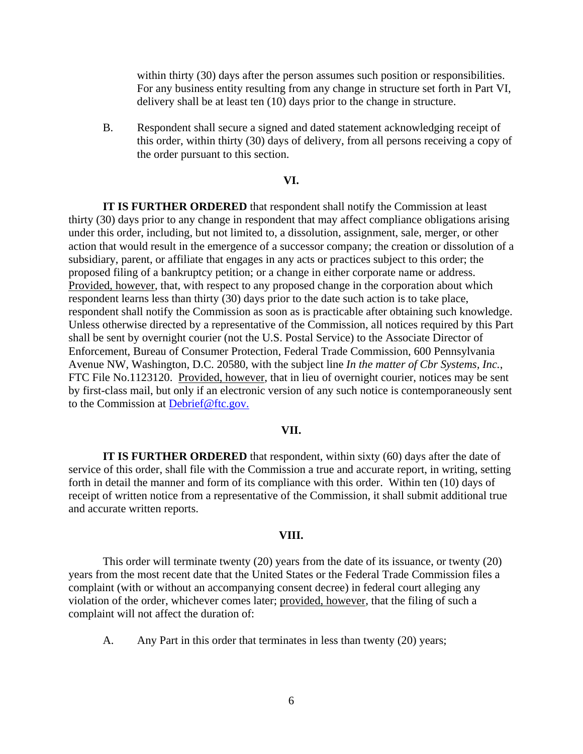within thirty (30) days after the person assumes such position or responsibilities. For any business entity resulting from any change in structure set forth in Part VI, delivery shall be at least ten (10) days prior to the change in structure.

 B. Respondent shall secure a signed and dated statement acknowledging receipt of this order, within thirty (30) days of delivery, from all persons receiving a copy of the order pursuant to this section.

### **VI.**

**IT IS FURTHER ORDERED** that respondent shall notify the Commission at least thirty (30) days prior to any change in respondent that may affect compliance obligations arising under this order, including, but not limited to, a dissolution, assignment, sale, merger, or other action that would result in the emergence of a successor company; the creation or dissolution of a subsidiary, parent, or affiliate that engages in any acts or practices subject to this order; the proposed filing of a bankruptcy petition; or a change in either corporate name or address. Provided, however, that, with respect to any proposed change in the corporation about which respondent learns less than thirty (30) days prior to the date such action is to take place, respondent shall notify the Commission as soon as is practicable after obtaining such knowledge. Unless otherwise directed by a representative of the Commission, all notices required by this Part shall be sent by overnight courier (not the U.S. Postal Service) to the Associate Director of Enforcement, Bureau of Consumer Protection, Federal Trade Commission, 600 Pennsylvania Avenue NW, Washington, D.C. 20580, with the subject line *In the matter of Cbr Systems, Inc.*, FTC File No.1123120. Provided, however, that in lieu of overnight courier, notices may be sent by first-class mail, but only if an electronic version of any such notice is contemporaneously sent to the Commission at Debrief@ftc.gov.

#### **VII.**

**IT IS FURTHER ORDERED** that respondent, within sixty (60) days after the date of service of this order, shall file with the Commission a true and accurate report, in writing, setting forth in detail the manner and form of its compliance with this order. Within ten (10) days of receipt of written notice from a representative of the Commission, it shall submit additional true and accurate written reports.

#### **VIII.**

 This order will terminate twenty (20) years from the date of its issuance, or twenty (20) years from the most recent date that the United States or the Federal Trade Commission files a complaint (with or without an accompanying consent decree) in federal court alleging any violation of the order, whichever comes later; provided, however, that the filing of such a complaint will not affect the duration of:

A. Any Part in this order that terminates in less than twenty (20) years;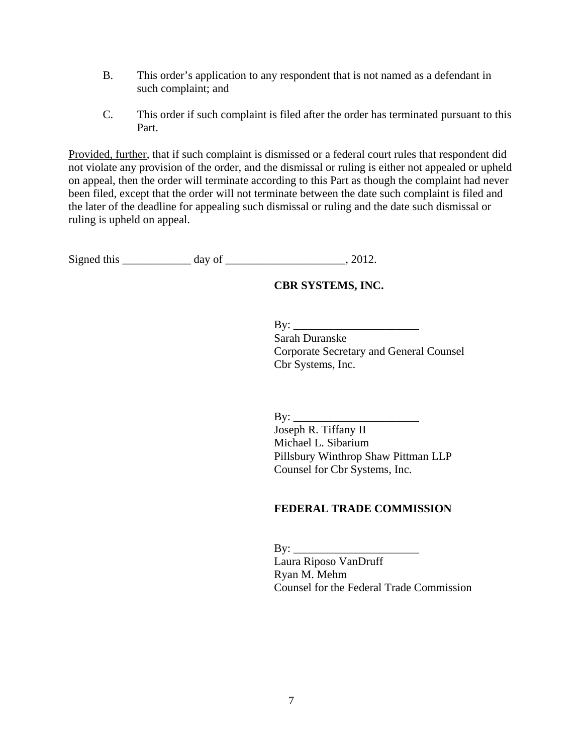- B. This order's application to any respondent that is not named as a defendant in such complaint; and
- C. This order if such complaint is filed after the order has terminated pursuant to this Part.

Provided, further, that if such complaint is dismissed or a federal court rules that respondent did not violate any provision of the order, and the dismissal or ruling is either not appealed or upheld on appeal, then the order will terminate according to this Part as though the complaint had never been filed, except that the order will not terminate between the date such complaint is filed and the later of the deadline for appealing such dismissal or ruling and the date such dismissal or ruling is upheld on appeal.

Signed this \_\_\_\_\_\_\_\_\_\_\_\_ day of \_\_\_\_\_\_\_\_\_\_\_\_\_\_\_\_\_\_\_\_\_, 2012.

## **CBR SYSTEMS, INC.**

 $\mathbf{B} \mathbf{y}$ :

Sarah Duranske Corporate Secretary and General Counsel Cbr Systems, Inc.

By:  $\qquad \qquad$ 

Joseph R. Tiffany II Michael L. Sibarium Pillsbury Winthrop Shaw Pittman LLP Counsel for Cbr Systems, Inc.

## **FEDERAL TRADE COMMISSION**

 $\mathbf{By:}$ Laura Riposo VanDruff Ryan M. Mehm Counsel for the Federal Trade Commission